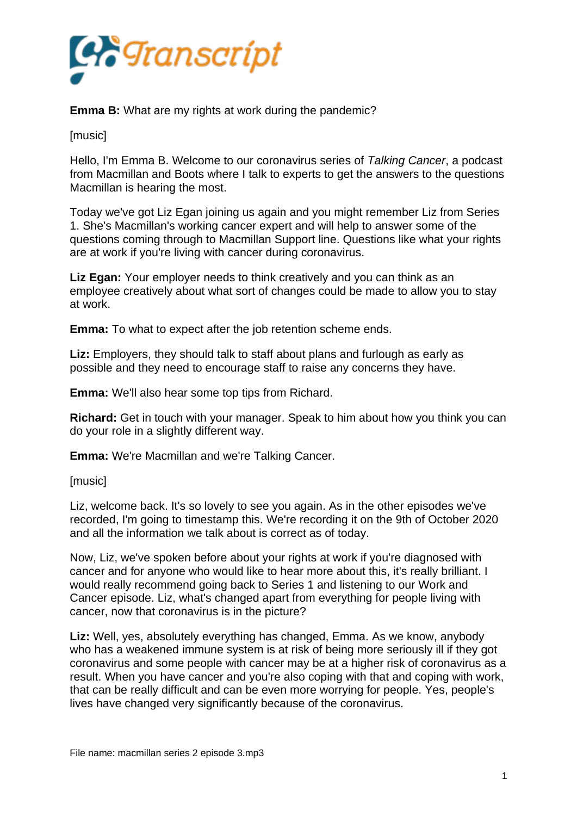

**Emma B:** What are my rights at work during the pandemic?

[music]

Hello, I'm Emma B. Welcome to our coronavirus series of *Talking Cancer*, a podcast from Macmillan and Boots where I talk to experts to get the answers to the questions Macmillan is hearing the most.

Today we've got Liz Egan joining us again and you might remember Liz from Series 1. She's Macmillan's working cancer expert and will help to answer some of the questions coming through to Macmillan Support line. Questions like what your rights are at work if you're living with cancer during coronavirus.

**Liz Egan:** Your employer needs to think creatively and you can think as an employee creatively about what sort of changes could be made to allow you to stay at work.

**Emma:** To what to expect after the job retention scheme ends.

**Liz:** Employers, they should talk to staff about plans and furlough as early as possible and they need to encourage staff to raise any concerns they have.

**Emma:** We'll also hear some top tips from Richard.

**Richard:** Get in touch with your manager. Speak to him about how you think you can do your role in a slightly different way.

**Emma:** We're Macmillan and we're Talking Cancer.

[music]

Liz, welcome back. It's so lovely to see you again. As in the other episodes we've recorded, I'm going to timestamp this. We're recording it on the 9th of October 2020 and all the information we talk about is correct as of today.

Now, Liz, we've spoken before about your rights at work if you're diagnosed with cancer and for anyone who would like to hear more about this, it's really brilliant. I would really recommend going back to Series 1 and listening to our Work and Cancer episode. Liz, what's changed apart from everything for people living with cancer, now that coronavirus is in the picture?

**Liz:** Well, yes, absolutely everything has changed, Emma. As we know, anybody who has a weakened immune system is at risk of being more seriously ill if they got coronavirus and some people with cancer may be at a higher risk of coronavirus as a result. When you have cancer and you're also coping with that and coping with work, that can be really difficult and can be even more worrying for people. Yes, people's lives have changed very significantly because of the coronavirus.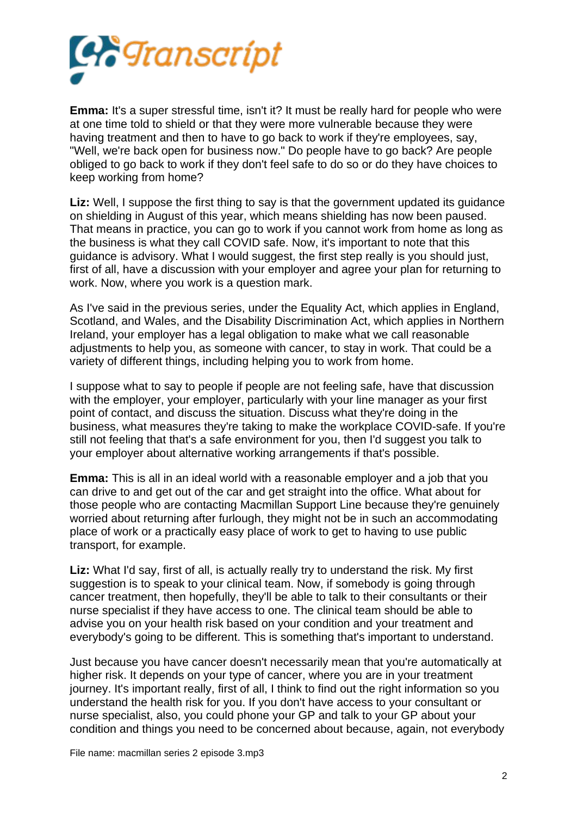

**Emma:** It's a super stressful time, isn't it? It must be really hard for people who were at one time told to shield or that they were more vulnerable because they were having treatment and then to have to go back to work if they're employees, say, "Well, we're back open for business now." Do people have to go back? Are people obliged to go back to work if they don't feel safe to do so or do they have choices to keep working from home?

**Liz:** Well, I suppose the first thing to say is that the government updated its guidance on shielding in August of this year, which means shielding has now been paused. That means in practice, you can go to work if you cannot work from home as long as the business is what they call COVID safe. Now, it's important to note that this guidance is advisory. What I would suggest, the first step really is you should just, first of all, have a discussion with your employer and agree your plan for returning to work. Now, where you work is a question mark.

As I've said in the previous series, under the Equality Act, which applies in England, Scotland, and Wales, and the Disability Discrimination Act, which applies in Northern Ireland, your employer has a legal obligation to make what we call reasonable adjustments to help you, as someone with cancer, to stay in work. That could be a variety of different things, including helping you to work from home.

I suppose what to say to people if people are not feeling safe, have that discussion with the employer, your employer, particularly with your line manager as your first point of contact, and discuss the situation. Discuss what they're doing in the business, what measures they're taking to make the workplace COVID-safe. If you're still not feeling that that's a safe environment for you, then I'd suggest you talk to your employer about alternative working arrangements if that's possible.

**Emma:** This is all in an ideal world with a reasonable employer and a job that you can drive to and get out of the car and get straight into the office. What about for those people who are contacting Macmillan Support Line because they're genuinely worried about returning after furlough, they might not be in such an accommodating place of work or a practically easy place of work to get to having to use public transport, for example.

**Liz:** What I'd say, first of all, is actually really try to understand the risk. My first suggestion is to speak to your clinical team. Now, if somebody is going through cancer treatment, then hopefully, they'll be able to talk to their consultants or their nurse specialist if they have access to one. The clinical team should be able to advise you on your health risk based on your condition and your treatment and everybody's going to be different. This is something that's important to understand.

Just because you have cancer doesn't necessarily mean that you're automatically at higher risk. It depends on your type of cancer, where you are in your treatment journey. It's important really, first of all, I think to find out the right information so you understand the health risk for you. If you don't have access to your consultant or nurse specialist, also, you could phone your GP and talk to your GP about your condition and things you need to be concerned about because, again, not everybody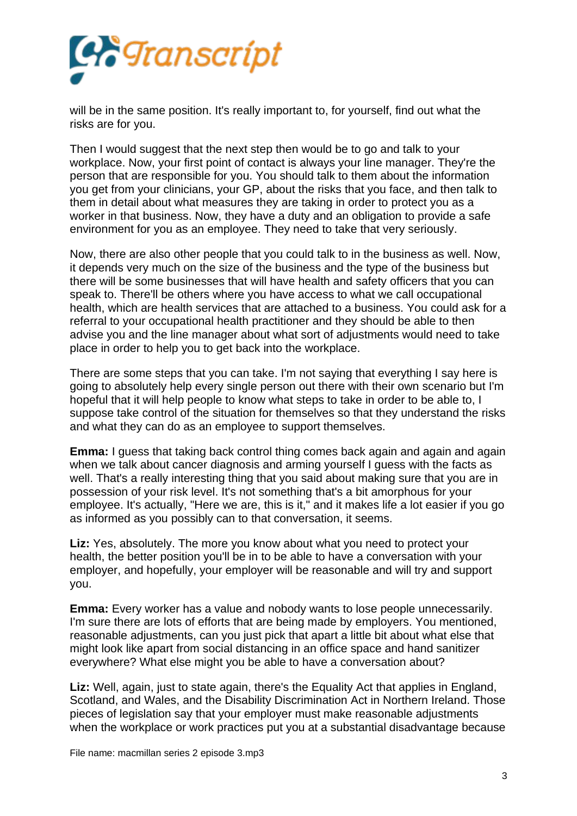

will be in the same position. It's really important to, for yourself, find out what the risks are for you.

Then I would suggest that the next step then would be to go and talk to your workplace. Now, your first point of contact is always your line manager. They're the person that are responsible for you. You should talk to them about the information you get from your clinicians, your GP, about the risks that you face, and then talk to them in detail about what measures they are taking in order to protect you as a worker in that business. Now, they have a duty and an obligation to provide a safe environment for you as an employee. They need to take that very seriously.

Now, there are also other people that you could talk to in the business as well. Now, it depends very much on the size of the business and the type of the business but there will be some businesses that will have health and safety officers that you can speak to. There'll be others where you have access to what we call occupational health, which are health services that are attached to a business. You could ask for a referral to your occupational health practitioner and they should be able to then advise you and the line manager about what sort of adjustments would need to take place in order to help you to get back into the workplace.

There are some steps that you can take. I'm not saying that everything I say here is going to absolutely help every single person out there with their own scenario but I'm hopeful that it will help people to know what steps to take in order to be able to, I suppose take control of the situation for themselves so that they understand the risks and what they can do as an employee to support themselves.

**Emma:** I guess that taking back control thing comes back again and again and again when we talk about cancer diagnosis and arming yourself I guess with the facts as well. That's a really interesting thing that you said about making sure that you are in possession of your risk level. It's not something that's a bit amorphous for your employee. It's actually, "Here we are, this is it," and it makes life a lot easier if you go as informed as you possibly can to that conversation, it seems.

**Liz:** Yes, absolutely. The more you know about what you need to protect your health, the better position you'll be in to be able to have a conversation with your employer, and hopefully, your employer will be reasonable and will try and support you.

**Emma:** Every worker has a value and nobody wants to lose people unnecessarily. I'm sure there are lots of efforts that are being made by employers. You mentioned, reasonable adjustments, can you just pick that apart a little bit about what else that might look like apart from social distancing in an office space and hand sanitizer everywhere? What else might you be able to have a conversation about?

**Liz:** Well, again, just to state again, there's the Equality Act that applies in England, Scotland, and Wales, and the Disability Discrimination Act in Northern Ireland. Those pieces of legislation say that your employer must make reasonable adjustments when the workplace or work practices put you at a substantial disadvantage because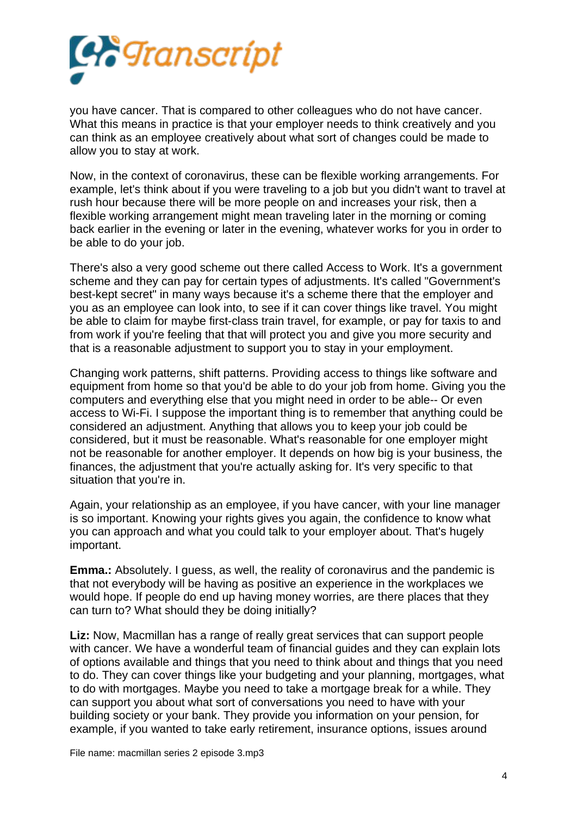

you have cancer. That is compared to other colleagues who do not have cancer. What this means in practice is that your employer needs to think creatively and you can think as an employee creatively about what sort of changes could be made to allow you to stay at work.

Now, in the context of coronavirus, these can be flexible working arrangements. For example, let's think about if you were traveling to a job but you didn't want to travel at rush hour because there will be more people on and increases your risk, then a flexible working arrangement might mean traveling later in the morning or coming back earlier in the evening or later in the evening, whatever works for you in order to be able to do your job.

There's also a very good scheme out there called Access to Work. It's a government scheme and they can pay for certain types of adjustments. It's called "Government's best-kept secret" in many ways because it's a scheme there that the employer and you as an employee can look into, to see if it can cover things like travel. You might be able to claim for maybe first-class train travel, for example, or pay for taxis to and from work if you're feeling that that will protect you and give you more security and that is a reasonable adjustment to support you to stay in your employment.

Changing work patterns, shift patterns. Providing access to things like software and equipment from home so that you'd be able to do your job from home. Giving you the computers and everything else that you might need in order to be able-- Or even access to Wi-Fi. I suppose the important thing is to remember that anything could be considered an adjustment. Anything that allows you to keep your job could be considered, but it must be reasonable. What's reasonable for one employer might not be reasonable for another employer. It depends on how big is your business, the finances, the adjustment that you're actually asking for. It's very specific to that situation that you're in.

Again, your relationship as an employee, if you have cancer, with your line manager is so important. Knowing your rights gives you again, the confidence to know what you can approach and what you could talk to your employer about. That's hugely important.

**Emma.:** Absolutely. I guess, as well, the reality of coronavirus and the pandemic is that not everybody will be having as positive an experience in the workplaces we would hope. If people do end up having money worries, are there places that they can turn to? What should they be doing initially?

**Liz:** Now, Macmillan has a range of really great services that can support people with cancer. We have a wonderful team of financial guides and they can explain lots of options available and things that you need to think about and things that you need to do. They can cover things like your budgeting and your planning, mortgages, what to do with mortgages. Maybe you need to take a mortgage break for a while. They can support you about what sort of conversations you need to have with your building society or your bank. They provide you information on your pension, for example, if you wanted to take early retirement, insurance options, issues around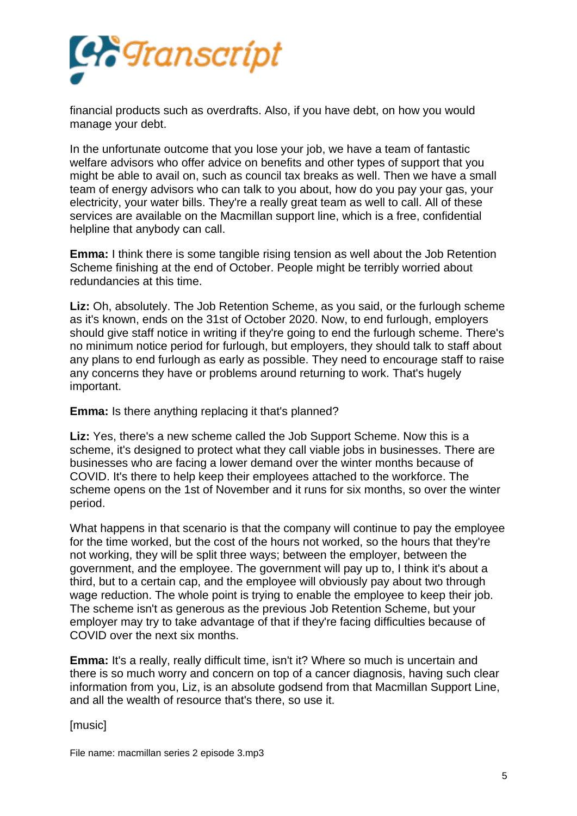

financial products such as overdrafts. Also, if you have debt, on how you would manage your debt.

In the unfortunate outcome that you lose your job, we have a team of fantastic welfare advisors who offer advice on benefits and other types of support that you might be able to avail on, such as council tax breaks as well. Then we have a small team of energy advisors who can talk to you about, how do you pay your gas, your electricity, your water bills. They're a really great team as well to call. All of these services are available on the Macmillan support line, which is a free, confidential helpline that anybody can call.

**Emma:** I think there is some tangible rising tension as well about the Job Retention Scheme finishing at the end of October. People might be terribly worried about redundancies at this time.

**Liz:** Oh, absolutely. The Job Retention Scheme, as you said, or the furlough scheme as it's known, ends on the 31st of October 2020. Now, to end furlough, employers should give staff notice in writing if they're going to end the furlough scheme. There's no minimum notice period for furlough, but employers, they should talk to staff about any plans to end furlough as early as possible. They need to encourage staff to raise any concerns they have or problems around returning to work. That's hugely important.

## **Emma:** Is there anything replacing it that's planned?

**Liz:** Yes, there's a new scheme called the Job Support Scheme. Now this is a scheme, it's designed to protect what they call viable jobs in businesses. There are businesses who are facing a lower demand over the winter months because of COVID. It's there to help keep their employees attached to the workforce. The scheme opens on the 1st of November and it runs for six months, so over the winter period.

What happens in that scenario is that the company will continue to pay the employee for the time worked, but the cost of the hours not worked, so the hours that they're not working, they will be split three ways; between the employer, between the government, and the employee. The government will pay up to, I think it's about a third, but to a certain cap, and the employee will obviously pay about two through wage reduction. The whole point is trying to enable the employee to keep their job. The scheme isn't as generous as the previous Job Retention Scheme, but your employer may try to take advantage of that if they're facing difficulties because of COVID over the next six months.

**Emma:** It's a really, really difficult time, isn't it? Where so much is uncertain and there is so much worry and concern on top of a cancer diagnosis, having such clear information from you, Liz, is an absolute godsend from that Macmillan Support Line, and all the wealth of resource that's there, so use it.

[music]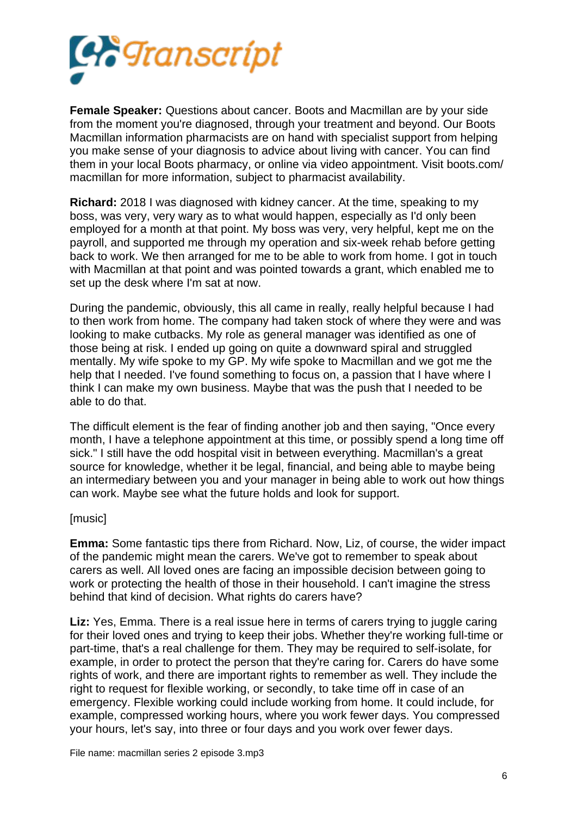

**Female Speaker:** Questions about cancer. Boots and Macmillan are by your side from the moment you're diagnosed, through your treatment and beyond. Our Boots Macmillan information pharmacists are on hand with specialist support from helping you make sense of your diagnosis to advice about living with cancer. You can find them in your local Boots pharmacy, or online via video appointment. Visit boots.com/ macmillan for more information, subject to pharmacist availability.

**Richard:** 2018 I was diagnosed with kidney cancer. At the time, speaking to my boss, was very, very wary as to what would happen, especially as I'd only been employed for a month at that point. My boss was very, very helpful, kept me on the payroll, and supported me through my operation and six-week rehab before getting back to work. We then arranged for me to be able to work from home. I got in touch with Macmillan at that point and was pointed towards a grant, which enabled me to set up the desk where I'm sat at now.

During the pandemic, obviously, this all came in really, really helpful because I had to then work from home. The company had taken stock of where they were and was looking to make cutbacks. My role as general manager was identified as one of those being at risk. I ended up going on quite a downward spiral and struggled mentally. My wife spoke to my GP. My wife spoke to Macmillan and we got me the help that I needed. I've found something to focus on, a passion that I have where I think I can make my own business. Maybe that was the push that I needed to be able to do that.

The difficult element is the fear of finding another job and then saying, "Once every month, I have a telephone appointment at this time, or possibly spend a long time off sick." I still have the odd hospital visit in between everything. Macmillan's a great source for knowledge, whether it be legal, financial, and being able to maybe being an intermediary between you and your manager in being able to work out how things can work. Maybe see what the future holds and look for support.

## [music]

**Emma:** Some fantastic tips there from Richard. Now, Liz, of course, the wider impact of the pandemic might mean the carers. We've got to remember to speak about carers as well. All loved ones are facing an impossible decision between going to work or protecting the health of those in their household. I can't imagine the stress behind that kind of decision. What rights do carers have?

**Liz:** Yes, Emma. There is a real issue here in terms of carers trying to juggle caring for their loved ones and trying to keep their jobs. Whether they're working full-time or part-time, that's a real challenge for them. They may be required to self-isolate, for example, in order to protect the person that they're caring for. Carers do have some rights of work, and there are important rights to remember as well. They include the right to request for flexible working, or secondly, to take time off in case of an emergency. Flexible working could include working from home. It could include, for example, compressed working hours, where you work fewer days. You compressed your hours, let's say, into three or four days and you work over fewer days.